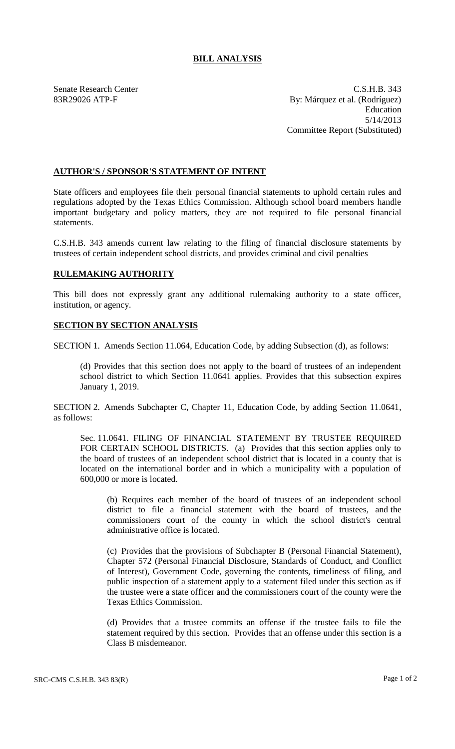## **BILL ANALYSIS**

Senate Research Center C.S.H.B. 343 83R29026 ATP-F By: Márquez et al. (Rodríguez) Education 5/14/2013 Committee Report (Substituted)

## **AUTHOR'S / SPONSOR'S STATEMENT OF INTENT**

State officers and employees file their personal financial statements to uphold certain rules and regulations adopted by the Texas Ethics Commission. Although school board members handle important budgetary and policy matters, they are not required to file personal financial statements.

C.S.H.B. 343 amends current law relating to the filing of financial disclosure statements by trustees of certain independent school districts, and provides criminal and civil penalties

## **RULEMAKING AUTHORITY**

This bill does not expressly grant any additional rulemaking authority to a state officer, institution, or agency.

## **SECTION BY SECTION ANALYSIS**

SECTION 1. Amends Section 11.064, Education Code, by adding Subsection (d), as follows:

(d) Provides that this section does not apply to the board of trustees of an independent school district to which Section 11.0641 applies. Provides that this subsection expires January 1, 2019.

SECTION 2. Amends Subchapter C, Chapter 11, Education Code, by adding Section 11.0641, as follows:

Sec. 11.0641. FILING OF FINANCIAL STATEMENT BY TRUSTEE REQUIRED FOR CERTAIN SCHOOL DISTRICTS. (a) Provides that this section applies only to the board of trustees of an independent school district that is located in a county that is located on the international border and in which a municipality with a population of 600,000 or more is located.

(b) Requires each member of the board of trustees of an independent school district to file a financial statement with the board of trustees, and the commissioners court of the county in which the school district's central administrative office is located.

(c) Provides that the provisions of Subchapter B (Personal Financial Statement), Chapter 572 (Personal Financial Disclosure, Standards of Conduct, and Conflict of Interest), Government Code, governing the contents, timeliness of filing, and public inspection of a statement apply to a statement filed under this section as if the trustee were a state officer and the commissioners court of the county were the Texas Ethics Commission.

(d) Provides that a trustee commits an offense if the trustee fails to file the statement required by this section. Provides that an offense under this section is a Class B misdemeanor.